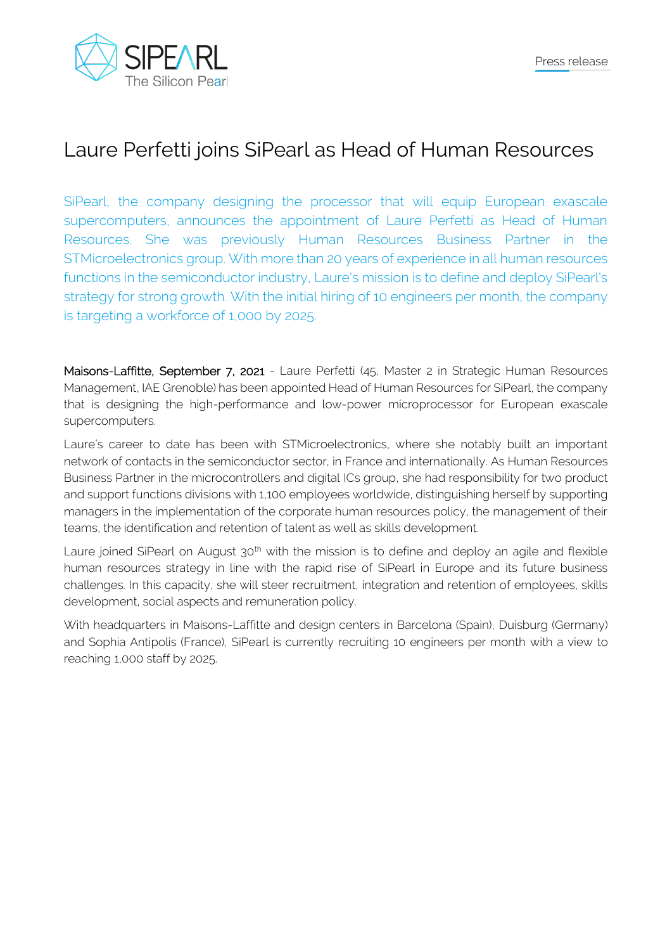

## Laure Perfetti joins SiPearl as Head of Human Resources

SiPearl, the company designing the processor that will equip European exascale supercomputers, announces the appointment of Laure Perfetti as Head of Human Resources. She was previously Human Resources Business Partner in the STMicroelectronics group. With more than 20 years of experience in all human resources functions in the semiconductor industry, Laure's mission is to define and deploy SiPearl's strategy for strong growth. With the initial hiring of 10 engineers per month, the company is targeting a workforce of 1,000 by 2025.

Maisons-Laffitte, September 7, 2021 - Laure Perfetti (45, Master 2 in Strategic Human Resources Management, IAE Grenoble) has been appointed Head of Human Resources for SiPearl, the company that is designing the high-performance and low-power microprocessor for European exascale supercomputers.

Laure's career to date has been with STMicroelectronics, where she notably built an important network of contacts in the semiconductor sector, in France and internationally. As Human Resources Business Partner in the microcontrollers and digital ICs group, she had responsibility for two product and support functions divisions with 1,100 employees worldwide, distinguishing herself by supporting managers in the implementation of the corporate human resources policy, the management of their teams, the identification and retention of talent as well as skills development.

Laure joined SiPearl on August 30<sup>th</sup> with the mission is to define and deploy an agile and flexible human resources strategy in line with the rapid rise of SiPearl in Europe and its future business challenges. In this capacity, she will steer recruitment, integration and retention of employees, skills development, social aspects and remuneration policy.

With headquarters in Maisons-Laffitte and design centers in Barcelona (Spain), Duisburg (Germany) and Sophia Antipolis (France), SiPearl is currently recruiting 10 engineers per month with a view to reaching 1,000 staff by 2025.